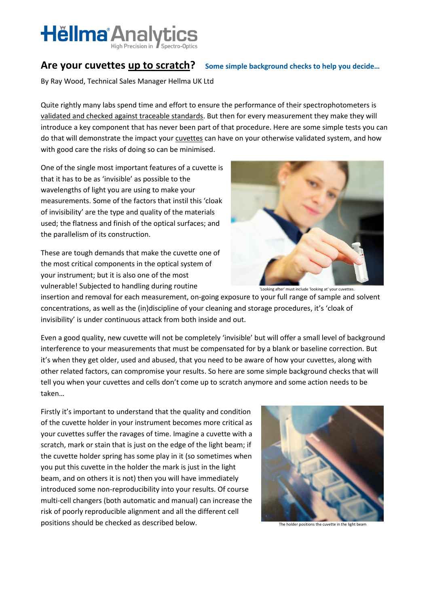

#### Are your cuvettes [up to scratch?](http://www.english-for-students.com/up-to-scratch.html) Some simple background checks to help you decide...

By Ray Wood, Technical Sales Manager Hellma UK Ltd

Quite rightly many labs spend time and effort to ensure the performance of their spectrophotometers is validated [and checked against traceable standards.](http://www.hellma.co.uk/text/761/en/popular-downloads.html) But then for every measurement they make they will introduce a key component that has never been part of that procedure. Here are some simple tests you can do that will demonstrate the impact your [cuvettes](http://www.hellma.co.uk/text/978/en/products.html) can have on your otherwise validated system, and how with good care the risks of doing so can be minimised.

One of the single most important features of a cuvette is that it has to be as 'invisible' as possible to the wavelengths of light you are using to make your measurements. Some of the factors that instil this 'cloak of invisibility' are the type and quality of the materials used; the flatness and finish of the optical surfaces; and the parallelism of its construction.

These are tough demands that make the cuvette one of the most critical components in the optical system of your instrument; but it is also one of the most vulnerable! Subjected to handling during routine



'Looking after' must include 'looking at' your cuvettes.

insertion and removal for each measurement, on-going exposure to your full range of sample and solvent concentrations, as well as the (in)discipline of your cleaning and storage procedures, it's 'cloak of invisibility' is under continuous attack from both inside and out.

Even a good quality, new cuvette will not be completely 'invisible' but will offer a small level of background interference to your measurements that must be compensated for by a blank or baseline correction. But it's when they get older, used and abused, that you need to be aware of how your cuvettes, along with other related factors, can compromise your results. So here are some simple background checks that will tell you when your cuvettes and cells don't come up to scratch anymore and some action needs to be taken…

Firstly it's important to understand that the quality and condition of the cuvette holder in your instrument becomes more critical as your cuvettes suffer the ravages of time. Imagine a cuvette with a scratch, mark or stain that is just on the edge of the light beam; if the cuvette holder spring has some play in it (so sometimes when you put this cuvette in the holder the mark is just in the light beam, and on others it is not) then you will have immediately introduced some non-reproducibility into your results. Of course multi-cell changers (both automatic and manual) can increase the risk of poorly reproducible alignment and all the different cell positions should be checked as described below.



The holder positions the cuvette in the light beam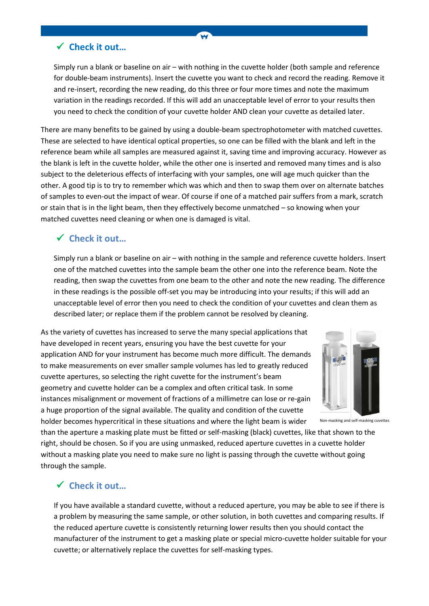#### **Check it out…**

Simply run a blank or baseline on air – with nothing in the cuvette holder (both sample and reference for double-beam instruments). Insert the cuvette you want to check and record the reading. Remove it and re-insert, recording the new reading, do this three or four more times and note the maximum variation in the readings recorded. If this will add an unacceptable level of error to your results then you need to check the condition of your cuvette holder AND clean your cuvette as detailed later.

W

There are many benefits to be gained by using a double-beam spectrophotometer with matched cuvettes. These are selected to have identical optical properties, so one can be filled with the blank and left in the reference beam while all samples are measured against it, saving time and improving accuracy. However as the blank is left in the cuvette holder, while the other one is inserted and removed many times and is also subject to the deleterious effects of interfacing with your samples, one will age much quicker than the other. A good tip is to try to remember which was which and then to swap them over on alternate batches of samples to even-out the impact of wear. Of course if one of a matched pair suffers from a mark, scratch or stain that is in the light beam, then they effectively become unmatched – so knowing when your matched cuvettes need cleaning or when one is damaged is vital.

#### **Check it out…**

Simply run a blank or baseline on air – with nothing in the sample and reference cuvette holders. Insert one of the matched cuvettes into the sample beam the other one into the reference beam. Note the reading, then swap the cuvettes from one beam to the other and note the new reading. The difference in these readings is the possible off-set you may be introducing into your results; if this will add an unacceptable level of error then you need to check the condition of your cuvettes and clean them as described later; or replace them if the problem cannot be resolved by cleaning.

As the variety of cuvettes has increased to serve the many special applications that have developed in recent years, ensuring you have the best cuvette for your application AND for your instrument has become much more difficult. The demands to make measurements on ever smaller sample volumes has led to greatly reduced cuvette apertures, so selecting the right cuvette for the instrument's beam geometry and cuvette holder can be a complex and often critical task. In some instances misalignment or movement of fractions of a millimetre can lose or re-gain a huge proportion of the signal available. The quality and condition of the cuvette holder becomes hypercritical in these situations and where the light beam is wider



Non-masking and self-masking cuvettes

than the aperture a masking plate must be fitted or self-masking (black) cuvettes, like that shown to the right, should be chosen. So if you are using unmasked, reduced aperture cuvettes in a cuvette holder without a masking plate you need to make sure no light is passing through the cuvette without going through the sample.

# **Check it out…**

If you have available a standard cuvette, without a reduced aperture, you may be able to see if there is a problem by measuring the same sample, or other solution, in both cuvettes and comparing results. If the reduced aperture cuvette is consistently returning lower results then you should contact the manufacturer of the instrument to get a masking plate or special micro-cuvette holder suitable for your cuvette; or alternatively replace the cuvettes for self-masking types.